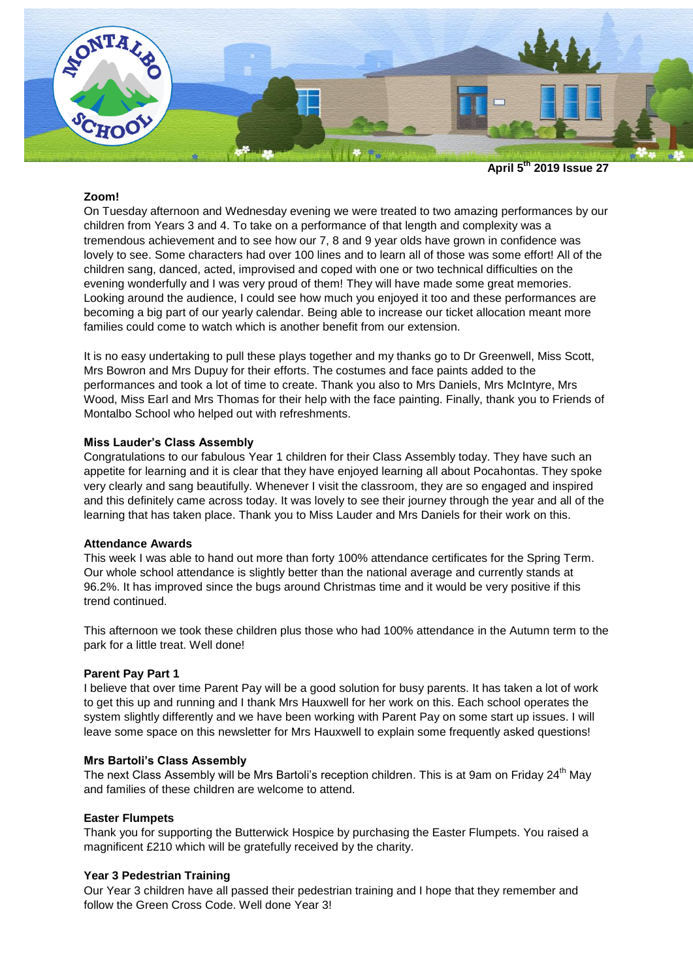

**April 5 th 2019 Issue 27**

## **Zoom!**

On Tuesday afternoon and Wednesday evening we were treated to two amazing performances by our children from Years 3 and 4. To take on a performance of that length and complexity was a tremendous achievement and to see how our 7, 8 and 9 year olds have grown in confidence was lovely to see. Some characters had over 100 lines and to learn all of those was some effort! All of the children sang, danced, acted, improvised and coped with one or two technical difficulties on the evening wonderfully and I was very proud of them! They will have made some great memories. Looking around the audience, I could see how much you enjoyed it too and these performances are becoming a big part of our yearly calendar. Being able to increase our ticket allocation meant more families could come to watch which is another benefit from our extension.

It is no easy undertaking to pull these plays together and my thanks go to Dr Greenwell, Miss Scott, Mrs Bowron and Mrs Dupuy for their efforts. The costumes and face paints added to the performances and took a lot of time to create. Thank you also to Mrs Daniels, Mrs McIntyre, Mrs Wood, Miss Earl and Mrs Thomas for their help with the face painting. Finally, thank you to Friends of Montalbo School who helped out with refreshments.

## **Miss Lauder's Class Assembly**

Congratulations to our fabulous Year 1 children for their Class Assembly today. They have such an appetite for learning and it is clear that they have enjoyed learning all about Pocahontas. They spoke very clearly and sang beautifully. Whenever I visit the classroom, they are so engaged and inspired and this definitely came across today. It was lovely to see their journey through the year and all of the learning that has taken place. Thank you to Miss Lauder and Mrs Daniels for their work on this.

#### **Attendance Awards**

This week I was able to hand out more than forty 100% attendance certificates for the Spring Term. Our whole school attendance is slightly better than the national average and currently stands at 96.2%. It has improved since the bugs around Christmas time and it would be very positive if this trend continued.

This afternoon we took these children plus those who had 100% attendance in the Autumn term to the park for a little treat. Well done!

#### **Parent Pay Part 1**

I believe that over time Parent Pay will be a good solution for busy parents. It has taken a lot of work to get this up and running and I thank Mrs Hauxwell for her work on this. Each school operates the system slightly differently and we have been working with Parent Pay on some start up issues. I will leave some space on this newsletter for Mrs Hauxwell to explain some frequently asked questions!

#### **Mrs Bartoli's Class Assembly**

The next Class Assembly will be Mrs Bartoli's reception children. This is at 9am on Friday 24<sup>th</sup> May and families of these children are welcome to attend.

#### **Easter Flumpets**

Thank you for supporting the Butterwick Hospice by purchasing the Easter Flumpets. You raised a magnificent £210 which will be gratefully received by the charity.

#### **Year 3 Pedestrian Training**

Our Year 3 children have all passed their pedestrian training and I hope that they remember and follow the Green Cross Code. Well done Year 3!